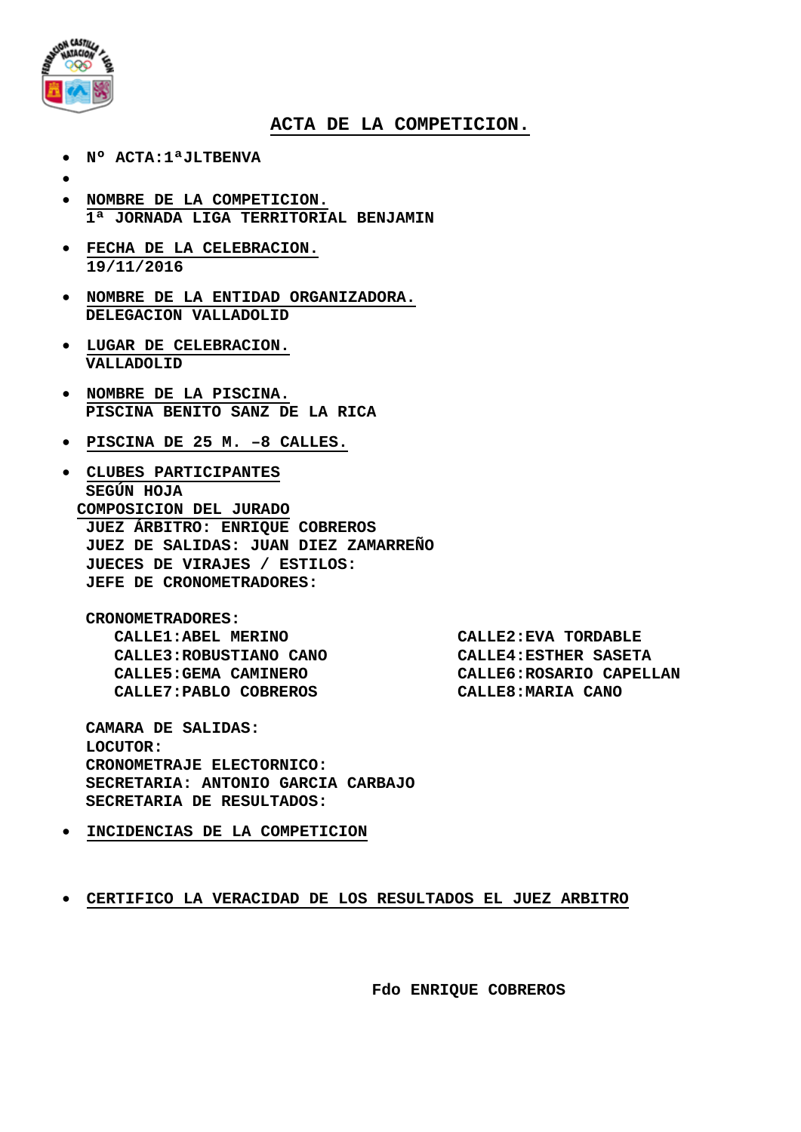

## **ACTA DE LA COMPETICION.**

- **Nº ACTA:1ªJLTBENVA**
- •
- **NOMBRE DE LA COMPETICION. 1ª JORNADA LIGA TERRITORIAL BENJAMIN**
- **FECHA DE LA CELEBRACION. 19/11/2016**
- **NOMBRE DE LA ENTIDAD ORGANIZADORA. DELEGACION VALLADOLID**
- **LUGAR DE CELEBRACION. VALLADOLID**
- **NOMBRE DE LA PISCINA. PISCINA BENITO SANZ DE LA RICA**
- **PISCINA DE 25 M. –8 CALLES.**
- **CLUBES PARTICIPANTES SEGÚN HOJA COMPOSICION DEL JURADO JUEZ ÁRBITRO: ENRIQUE COBREROS JUEZ DE SALIDAS: JUAN DIEZ ZAMARREÑO JUECES DE VIRAJES / ESTILOS: JEFE DE CRONOMETRADORES:**

**CRONOMETRADORES: CALLE1:ABEL MERINO CALLE2:EVA TORDABLE CALLE3:ROBUSTIANO CANO CALLE4:ESTHER SASETA**  $CALLE7: PABLO COBREROS$ 

CALLE6:ROSARIO CAPELLAN<br>CALLE8:MARIA CANO

**CAMARA DE SALIDAS: LOCUTOR: CRONOMETRAJE ELECTORNICO: SECRETARIA: ANTONIO GARCIA CARBAJO SECRETARIA DE RESULTADOS:**

• **INCIDENCIAS DE LA COMPETICION**

• **CERTIFICO LA VERACIDAD DE LOS RESULTADOS EL JUEZ ARBITRO**

**Fdo ENRIQUE COBREROS**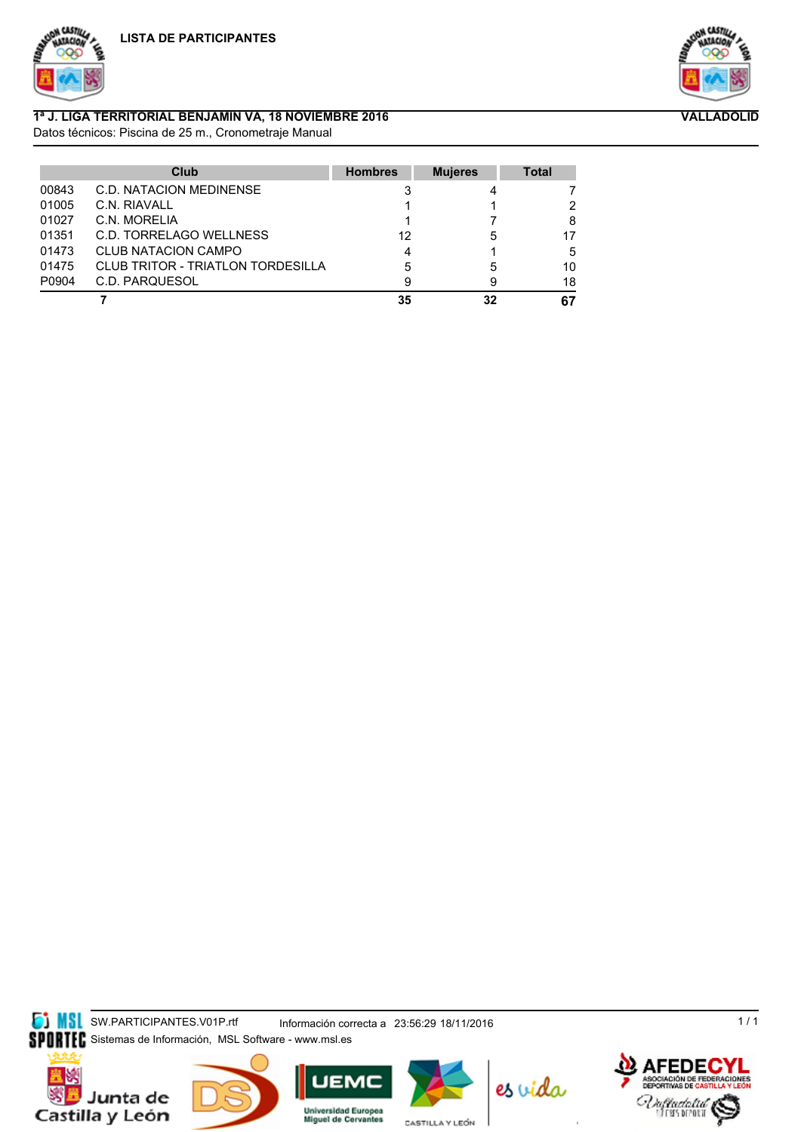



**VALLADOLID**

## **1ª J. LIGA TERRITORIAL BENJAMIN VA, 18 NOVIEMBRE 2016**

Datos técnicos: Piscina de 25 m., Cronometraje Manual

|       | Club                                     | <b>Hombres</b> | <b>Mujeres</b> | <b>Total</b> |
|-------|------------------------------------------|----------------|----------------|--------------|
| 00843 | <b>C.D. NATACION MEDINENSE</b>           |                |                |              |
| 01005 | C.N. RIAVALL                             |                |                | 2            |
| 01027 | C.N. MORELIA                             |                |                | 8            |
| 01351 | C.D. TORRELAGO WELLNESS                  | 12             | 5              | 17           |
| 01473 | <b>CLUB NATACION CAMPO</b>               | 4              |                | 5            |
| 01475 | <b>CLUB TRITOR - TRIATLON TORDESILLA</b> | 5              | 5              | 10           |
| P0904 | C.D. PARQUESOL                           |                | 9              | 18           |
|       |                                          | 35             | 32             | 67           |

**SIMSL** SW.PARTICIPANTES.V01P.rtf Información correcta a 23:56:29 18/11/2016 SPORTEC Sistemas de Información, MSL Software - www.msl.es

Junta de Castilla y León







CASTILLA Y LEÓN



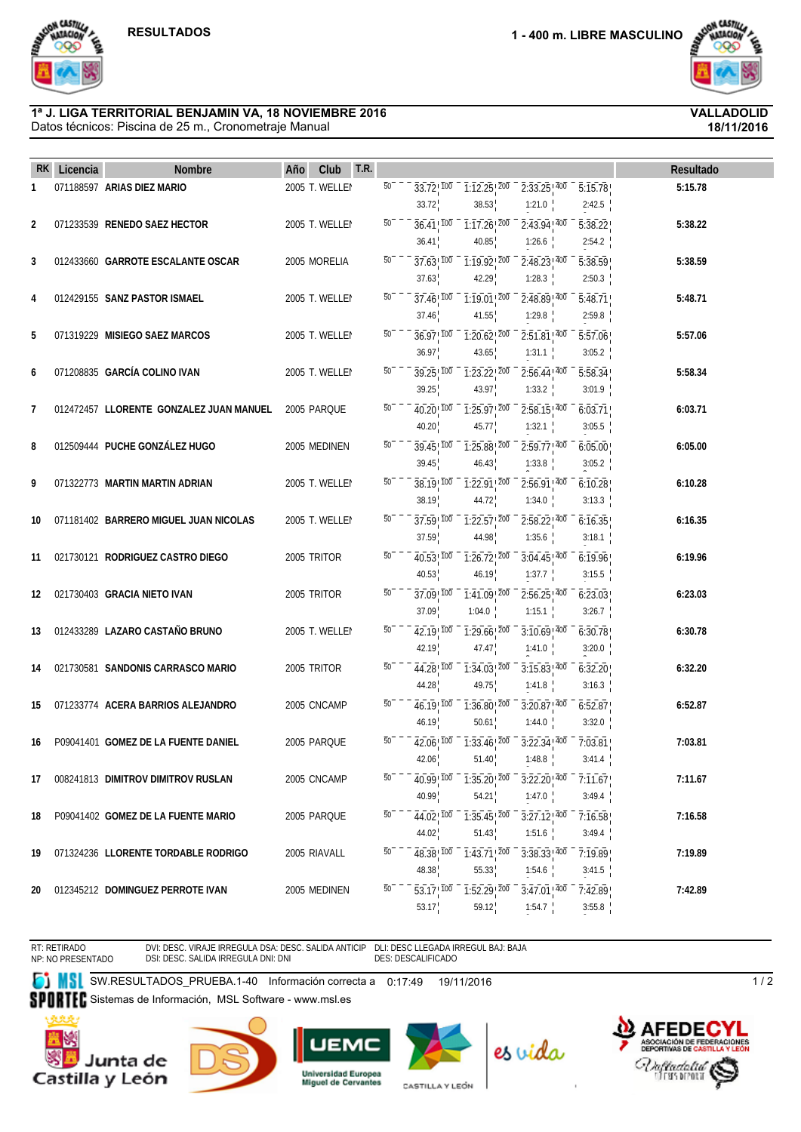

### Datos técnicos: Piscina de 25 m., Cronometraje Manual **1ª J. LIGA TERRITORIAL BENJAMIN VA, 18 NOVIEMBRE 2016 VALLADOLID**

**18/11/2016**

| RK. | Licencia | <b>Nombre</b>                           | Club<br>T.R.<br>Año | Resultado                                                                                                                                          |
|-----|----------|-----------------------------------------|---------------------|----------------------------------------------------------------------------------------------------------------------------------------------------|
| 1   |          | 071188597 ARIAS DIEZ MARIO              | 2005 T. WELLEI      | $\overline{50}$<br>$\overline{1:}12.25$ $\overline{200}$<br>$2:33.25$ ! $400$<br>$33.72$ <sup>100</sup><br>5:15.78<br>5:15.78                      |
|     |          |                                         |                     | 33.72<br>38.53<br>2:42.5<br>1:21.0                                                                                                                 |
| 2   |          | 071233539 RENEDO SAEZ HECTOR            | 2005 T. WELLEI      | 50<br>$1:17.26$ <sup>200</sup><br>$2:43.94$ <sup>1400</sup><br>5:38.22<br>36.41 ! 100<br>5:38.22                                                   |
|     |          |                                         |                     | 40.85<br>36.41<br>1:26.6<br>2:54.2                                                                                                                 |
| 3   |          | 012433660 GARROTE ESCALANTE OSCAR       | 2005 MORELIA        | $\overline{50}$<br>$37.63$ ! $100$<br>$2:48.23$ ! $400$<br>5:38.59<br>1:19.92! 200<br>5:38.59                                                      |
|     |          |                                         |                     | 37.63<br>42.29<br>1:28.3<br>2:50.3                                                                                                                 |
| 4   |          | 012429155 SANZ PASTOR ISMAEL            | 2005 T. WELLEI      | 50<br>37.46 100<br>1:19.01 200<br>2:48.89 400<br>5:48.71<br>5:48.71                                                                                |
|     |          |                                         |                     | 41.55<br>1:29.8<br>2:59.8<br>37.46                                                                                                                 |
| 5   |          | 071319229 MISIEGO SAEZ MARCOS           | 2005 T. WELLEI      | 50<br>5:57.06<br>36.97! 100<br>$1:20.62$ <sup>200</sup><br>$2:51.81$ , 400<br>5:57.06                                                              |
|     |          |                                         |                     | 36.97<br>43.65<br>1:31.1<br>3:05.2                                                                                                                 |
| 6   |          | 071208835 GARCÍA COLINO IVAN            | 2005 T. WELLEI      | $\overline{50}$<br>5:58.34<br>$39.25$ ! $100$<br>$2:56.44$ ! $400$<br>1:23.22 200<br>5:58.34                                                       |
|     |          |                                         |                     | 39.25<br>43.97<br>1:33.2<br>3:01.9                                                                                                                 |
| 7   |          | 012472457 LLORENTE GONZALEZ JUAN MANUEL | 2005 PARQUE         | 50<br>1:25.97 200<br>$2:58.15$ , 400<br>6:03.71<br>40.20 100<br>6:03.71                                                                            |
|     |          |                                         |                     | 40.20<br>45.77<br>1:32.1<br>3:05.5                                                                                                                 |
| 8   |          | 012509444 PUCHE GONZÁLEZ HUGO           | 2005 MEDINEN        | 50<br>$39.45$ , $100$<br>$1:25.88$ <sup>200</sup><br>$2:59.77$ <sup>1400</sup><br>6:05.00<br>6:05.00                                               |
|     |          |                                         |                     | 39.45<br>46.43<br>1:33.8<br>3:05.2                                                                                                                 |
| 9   |          | 071322773 MARTIN MARTIN ADRIAN          | 2005 T. WELLEI      | $50^{-}$<br>$2:56.91$ ! $400$<br>$38.19^{1700}$<br>1:22.91 200<br>6:10.28<br>6:10.28                                                               |
|     |          |                                         |                     | 38.19<br>44.72<br>1:34.0<br>3:13.3                                                                                                                 |
| 10  |          | 071181402 BARRERO MIGUEL JUAN NICOLAS   | 2005 T. WELLEI      | 50<br>$1:22.57$ <sup>200</sup><br>$2:58.22$ <sub>, 400</sub><br>37.59 100<br>6:16.35<br>6:16.35                                                    |
|     |          |                                         |                     | 37.59<br>44.98<br>1:35.6<br>3:18.1                                                                                                                 |
| 11  |          | 021730121 RODRIGUEZ CASTRO DIEGO        | 2005 TRITOR         | $\overline{50}$<br>$1:26.72$ <sup>200</sup><br>$3:04.45$ <sup>1400</sup><br>6:19.96<br>40.53!100<br>6:19.96                                        |
|     |          |                                         |                     | 40.53<br>46.19<br>1:37.7<br>3:15.5                                                                                                                 |
| 12  |          | 021730403 GRACIA NIETO IVAN             | 2005 TRITOR         | $\overline{50}$<br>$37.09$ ! $100$<br>$1:41.09$ $200$<br>$2:56.25$ ! $400$<br>6:23.03<br>6:23.03                                                   |
|     |          |                                         |                     | 37.09<br>1:04.0<br>1:15.1<br>3:26.7                                                                                                                |
| 13  |          | 012433289 LAZARO CASTAÑO BRUNO          | 2005 T. WELLEI      | 50<br>42.19! 100<br>$1:29.66$ <sup>200</sup><br>$3:10.69$ ! $400$<br>6:30.78<br>6:30.78                                                            |
|     |          |                                         |                     | 42.19<br>47.47<br>3:20.0<br>1:41.0                                                                                                                 |
| 14  |          | 021730581 SANDONIS CARRASCO MARIO       | 2005 TRITOR         | $\overline{50}$<br>$\overline{1:34.03}$ $\overline{200}$<br>$3:15.83$ <sup>1400</sup><br>44.28 100<br>6:32.20<br>6:32.20                           |
|     |          |                                         |                     | 44.28<br>49.75<br>1:41.8<br>3:16.3                                                                                                                 |
| 15  |          | 071233774 ACERA BARRIOS ALEJANDRO       | 2005 CNCAMP         | $50-$<br>$46.19$ <sup>100</sup><br>$\overline{1:36.80}$ $\overline{200}$<br>$3:20.87$ ! $400$<br>6:52.87<br>6:52.87                                |
|     |          |                                         |                     | 46.19<br>1:44.0<br>3:32.0<br>50.61                                                                                                                 |
| 16  |          | P09041401 GOMEZ DE LA FUENTE DANIEL     | 2005 PARQUE         | 50<br>$\overline{1:33.46}$ $\overline{200}$<br>$3:22.34$ <sup>1400</sup><br>7:03.81<br>7:03.81<br>42.06, 100                                       |
|     |          |                                         |                     | 42.06<br>51.40<br>1:48.8<br>3:41.4                                                                                                                 |
| 17  |          | 008241813 DIMITROV DIMITROV RUSLAN      | 2005 CNCAMP         | 50<br>7:11.67<br>40.99 100<br>$1:35.20$ , $200$<br>$3:22.20$ <sup>1400</sup><br>7:11.67                                                            |
|     |          |                                         |                     | 40.99<br>54.21<br>1:47.0<br>3:49.4                                                                                                                 |
| 18  |          | P09041402 GOMEZ DE LA FUENTE MARIO      | 2005 PARQUE         | $\overline{50}$<br>7:16.58<br>44.02, 100<br>$1:35.45$ $200$<br>$3:27.12$ ! $400$<br>7:16.58                                                        |
|     |          |                                         |                     | 44.02<br>51.43<br>1:51.6<br>3:49.4                                                                                                                 |
| 19  |          | 071324236 LLORENTE TORDABLE RODRIGO     | 2005 RIAVALL        | 50<br>$1:43.71$ <sup>200</sup><br>7:19.89<br>48.38 100<br>$3:38.33$ <sup>1400</sup><br>7:19.89                                                     |
|     |          |                                         |                     | 48.38<br>55.33<br>1:54.6<br>3:41.5                                                                                                                 |
| 20  |          | 012345212 DOMINGUEZ PERROTE IVAN        | 2005 MEDINEN        | 50<br>$\overline{53.17}$ , $\overline{100}$<br>$\overline{1:52.29}$ $\overline{200}$<br>$\overline{3:}47.01$ <sup>1400</sup><br>7:42.89<br>7:42.89 |
|     |          |                                         |                     | 53.17<br>59.12<br>1:54.7<br>3:55.8                                                                                                                 |

RT: RETIRADO NP: NO PRESENTADO

DVI: DESC. VIRAJE IRREGULA DSA: DESC. SALIDA ANTICIP<br>DSI: DESC. SALIDA IRREGULA DNI: DNI

DLI: DESC LLEGADA IRREGUL BAJ: BAJA DES: DESCALIFICADO

CASTILLA Y LEÓN

**SW.RESULTADOS\_PRUEBA.1-40 Información correcta a 0:17:49 19/11/2016** 

SPORTEC Sistemas de Información, MSL Software - www.msl.es













 $\overline{1/2}$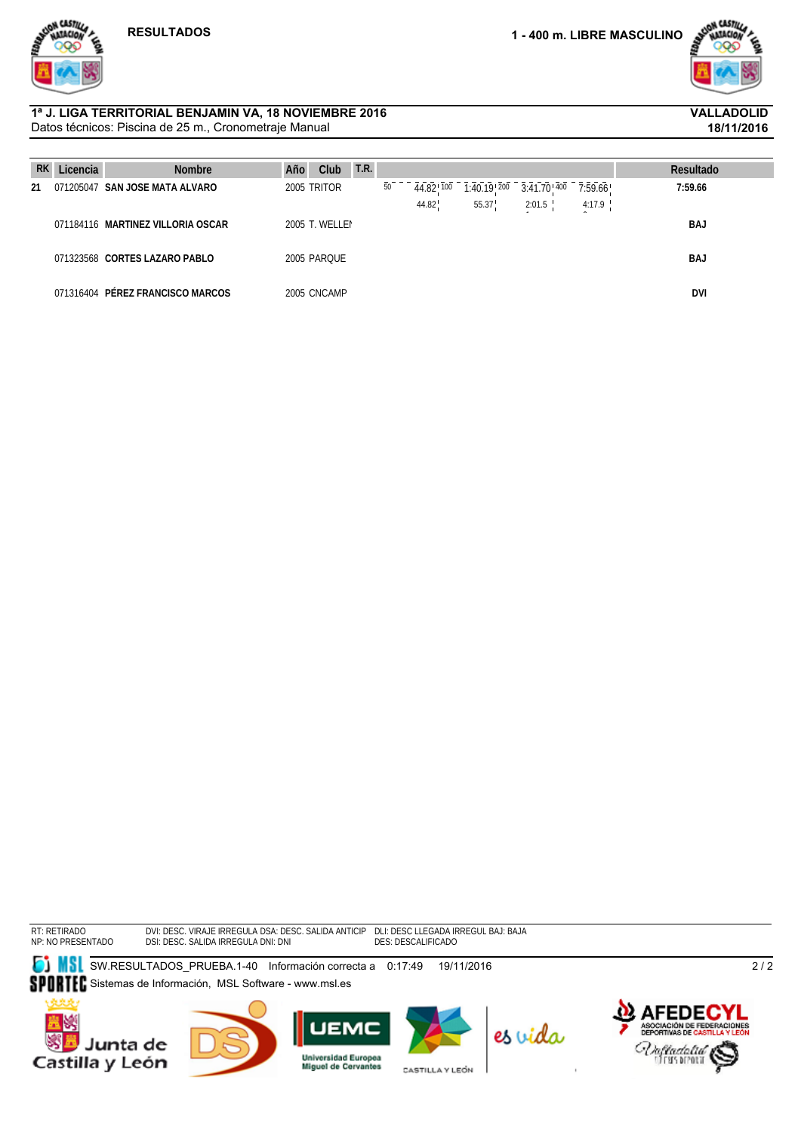

**18/11/2016**

### Datos técnicos: Piscina de 25 m., Cronometraje Manual **1ª J. LIGA TERRITORIAL BENJAMIN VA, 18 NOVIEMBRE 2016 VALLADOLID**

| <b>RK</b> | Licencia | <b>Nombre</b>                     | Año | Club           | T.R. |    |           |                          |                  |         | Resultado  |
|-----------|----------|-----------------------------------|-----|----------------|------|----|-----------|--------------------------|------------------|---------|------------|
| 21        |          | 071205047 SAN JOSE MATA ALVARO    |     | 2005 TRITOR    |      | 50 | 44.82 100 | $1:40.19$ <sup>200</sup> | $3:41.70^{+400}$ | 7:59.66 | 7:59.66    |
|           |          |                                   |     |                |      |    | 44.82     | 55.37                    | 2:01.5           | 4:17.9  |            |
|           |          | 071184116 MARTINEZ VILLORIA OSCAR |     | 2005 T. WELLEI |      |    |           |                          |                  |         | <b>BAJ</b> |
|           |          |                                   |     |                |      |    |           |                          |                  |         |            |
|           |          | 071323568 CORTES LAZARO PABLO     |     | 2005 PARQUE    |      |    |           |                          |                  |         | BAJ        |
|           |          |                                   |     |                |      |    |           |                          |                  |         |            |
|           |          | 071316404 PÉREZ FRANCISCO MARCOS  |     | 2005 CNCAMP    |      |    |           |                          |                  |         | <b>DVI</b> |

RT: RETIRADO NP: NO PRESENTADO DVI: DESC. VIRAJE IRREGULA DSI: DESC. SALIDA IRREGULA DSA: DESC. SALIDA ANTICIP DNI: DNI DLI: DESC LLEGADA IRREGUL DES: DESCALIFICADO BAJ: BAJA

**SI MSL** SW.RESULTADOS\_PRUEBA.1-40 Información correcta a 0:17:49 19/11/2016

SPORTEC Sistemas de Información, MSL Software - www.msl.es









CASTILLA Y LEÓN



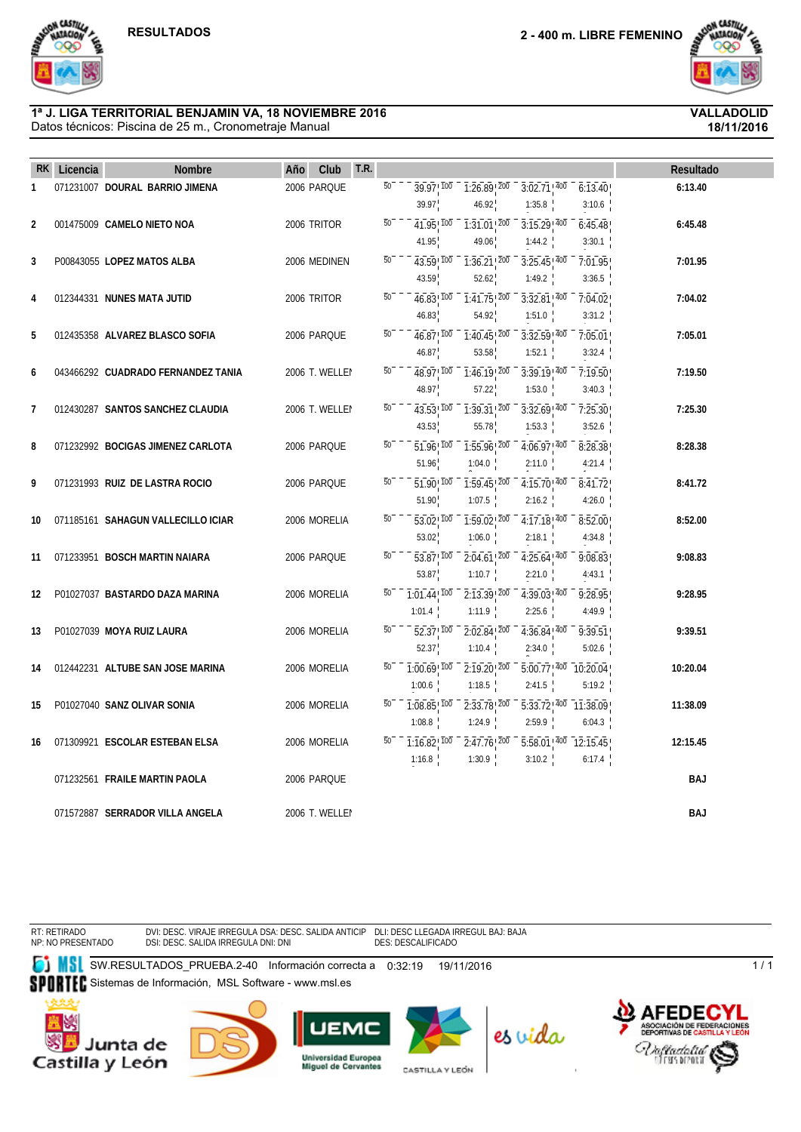**A CASTIL** 

 $6:13.40$ 



**18/11/2016**

### Datos técnicos: Piscina de 25 m., Cronometraje Manual **1ª J. LIGA TERRITORIAL BENJAMIN VA, 18 NOVIEMBRE 2016 VALLADOLID**

39.97 46.92 1:35.8  $\frac{1}{200} - \frac{1}{3:15.29}$ 3:10.6  $\frac{1}{400} - \frac{1}{6.45.48}$ **2** 001475009 **CAMELO NIETO NOA** 2006 TRITOR  $\overline{50}$   $\overline{7}$   $\overline{41.95}$   $\overline{100}$   $\overline{7}$   $\overline{131.01}$   $\overline{200}$   $\overline{3.15.29}$   $\overline{400}$   $\overline{6.45.48}$  6:45.48 41.95  $1:31.01$   $200$ 49.06  $1:44.2$  $\overline{200}$  -  $\overline{3:25.45}$ 3:30.1  $\frac{1}{400} - \frac{1}{7.01.95}$ **3** P00843055 LOPEZ MATOS ALBA 2006 MEDINEN  $\overline{50}$   $\overline{9}$   $\overline{43.59}$   $\overline{100}$   $\overline{7}$   $\overline{36.71}$   $\overline{200}$   $\overline{3.25.45}$   $\overline{400}$   $\overline{7}$   $\overline{10195}$   $\overline{9}$ 43.59  $\overline{43.59}$   $\overline{100}$   $\overline{10.36.21}$   $\overline{200}$ 52.62  $1:49.2$ 3:36.5 **44331 NUNES MATA JUTID** 2006 TRITOR  $\overline{50}$   $\overline{46.83}$   $\overline{100}$   $\overline{1.41.75}$   $\overline{200}$   $\overline{3.32.81}$   $\overline{400}$   $\overline{7.04.02}$  7:04.02 46.83  $\overline{1:41.75}$   $\overline{200}$ 54.92  $3:32.81$ !  $400$  $1:51.0$  $\overline{200} - \overline{3:32.59}$  $7:04.02$ 3:31.2  $\frac{1}{400} - \frac{1}{7.05.01}$ **5** 012435358 **ALVAREZ BLASCO SOFIA** 2006 PARQUE  $\overline{50}$   $\overline{60}$   $\overline{16.87}$   $\overline{100}$   $\overline{16.45}$   $\overline{200}$   $\overline{3.32.59}$   $\overline{400}$   $\overline{7.05.01}$  7:05.01 46.87  $1:40.45$ <sup> $\overline{200}$ </sup> 53.58 1:52.1 3:32.4  $\frac{1}{400} - \frac{1}{7.19.50}$ **6** 043466292 **CUADRADO FERNANDEZ TANIA** 2006 T. WELLEI  $\overline{50}$   $\overline{9}$   $\overline{48.97}$   $\overline{100}$   $\overline{1}$   $\overline{146.19}$   $\overline{200}$   $\overline{9}$   $\overline{3}$  $\overline{39.19}$   $\overline{400}$   $\overline{7}$   $\overline{7}$  $\overline{19.50}$   $\overline{100}$   $\overline{7}$ 48.97  $\overline{1:46.19}$   $\overline{200}$ 57.22  $3:39.19$   $400$  $1:53.0$ 3:40.3 **7** 012430287 **SANTOS SANCHEZ CLAUDIA** 2006 T. WELLEI 50<sup>---</sup>43.53<sup>1</sup> 100 -1.30.31<sup>1</sup> 200 -3.32.69<sup>1</sup> 400 - 7.35.30<sup>1</sup> 43.53  $\overline{43.53}$ ,  $\overline{100}$   $\overline{10.39.31}$ ,  $\overline{200}$ 55.78  $3:32.69$   $\sqrt[7]{100}$ 1:53.3  $\overline{200}$  -  $\overline{4:06.97}$  $7:25.30$ 3:52.6  $\frac{1}{400} - \frac{1}{8.28.38}$ **8** 071232992 **BOCIGAS JIMENEZ CARLOTA** 2006 PARQUE  $\overline{50}$   $\overline{5}$   $\overline{5}$   $\overline{96}$   $\overline{100}$   $\overline{7}$   $\overline{155}$   $\overline{96}$   $\overline{200}$   $\overline{4}$   $\overline{106}$   $\overline{8}$   $\overline{28}$   $\overline{200}$   $\overline{4}$   $\overline{106}$   $\overline{8}$  51.96  $1.55.96$ <sup>1</sup> 200 1:04.0  $\frac{1}{100} - \frac{1}{1.59.45}$  $2:11.0$  $\overline{200} - \overline{4:15.70}$ 4:21.4  $\frac{1}{400} - \frac{1}{8:41.72}$ **9** 071231993 **RUIZ DE LASTRA ROCIO** 2006 PARQUE  $\overline{50}$   $\overline{51}$ ,  $\overline{90}$   $\overline{100}$   $\overline{1}$ ,  $\overline{59}$ ,  $\overline{45}$ ,  $\overline{200}$   $\overline{4}$ ,  $\overline{15}$ ,  $\overline{7}$ ,  $\overline{100}$   $\overline{2}$ ,  $\overline{4}$ ,  $\overline{15}$ ,  $\overline{70}$ ,  $\overline$ 51.90 1:07.5  $2:16.2$ 4:26.0 **10** 071185161 **SAHAGUN VALLECILLO ICIAR** 2006 MORELIA  $\overline{50}$   $\overline{53.02}$   $\overline{100}$   $\overline{1.59.02}$   $\overline{200}$   $\overline{4.17.18}$   $\overline{400}$   $\overline{8.52.00}$  8:52.00 53.02  $\overline{1:59.02}$  $\overline{200}$ 1:06.0  $\frac{1}{100} - \frac{1}{2:04.61}$  $4:17.18$ <sup>100</sup>  $2:18.1$  $\frac{1}{200} - \frac{1}{4:25.64}$  $8:52.00$ 4:34.8  $\frac{1}{400} - \frac{1}{9.08.83}$ **11** 071233951 **BOSCH MARTIN NAIARA** 2006 PARQUE  $\overline{50}$   $\overline{50}$   $\overline{7}$   $\overline{53.87}$   $\overline{100}$   $\overline{200}$   $\overline{204.61}$   $\overline{200}$   $\overline{4.25.64}$   $\overline{400}$   $\overline{9.08.83}$  9:08.83 53.87 1:10.7 2:21.0  $\frac{1}{200} - \frac{1}{4:39.03}$ 4:43.1  $\frac{1}{400} - \frac{1}{9.28.95}$ 12 P01027037 **BASTARDO DAZA MARINA** 2006 MORELIA 50 1.01.44 100 2:13.39 200 4:39.03 400 9:28.95 9:28.95 1:01.4 1:11.9 2:25.6 4:49.9 **13** P01027039 **MOYA RUIZ LAURA** 2006 MORELIA  $\overline{50}$   $\overline{50}$   $\overline{200}$   $\overline{200}$   $\overline{200}$   $\overline{200}$   $\overline{200}$   $\overline{30}$   $\overline{200}$   $\overline{30}$   $\overline{200}$   $\overline{400}$   $\overline{200}$   $\overline{400}$   $\overline{90}$   $\overline{390}$   $\overline{$ 52.37  $2:02.84$ <sup>200</sup> 1:10.4  $4:36.84$ !  $400$  $2:34.0$  $\overline{200}$  -  $\overline{5:00.77}$   $\overline{400}$  -  $\overline{10:20.04}$  $9:39.51$ 5:02.6 **14** 012442231 **ALTUBE SAN JOSE MARINA** 2006 MORELIA  $\overline{50}$   $\overline{0}$   $\overline{100}$   $\overline{69}$   $\overline{100}$   $\overline{20}$   $\overline{20}$   $\overline{20}$   $\overline{20}$   $\overline{20}$   $\overline{7}$   $\overline{100}$   $\overline{20.04}$  **10:20.04** 1:00.6  $\overline{1:08.85}$   $\overline{100}$  $2:19.20$   $200$ 1:18.5  $\frac{1}{100} - \frac{1}{2.33.78}$  $2:41.5$ 5:19.2 **15** P01027040 **SANZ OLIVAR SONIA** 2006 MORELIA  $\overline{50}$  1:08.85  $\overline{100}$  2:33.78  $\overline{200}$  5:33.78  $\overline{200}$  11:38.09 1:08.8 1:24.9 <sup>200</sup> 5:33.72 <sup>400</sup> 11:38.09  $2:59.9$ 6:04.3

 **RK Licencia Nombre Año Club T.R. Resultado 1** 071231007 **DOURAL BARRIO JIMENA** 2006 PARQUE  $\overline{50}$   $\overline{1}$   $\overline{39.97}$   $\overline{100}$   $\overline{1}$   $\overline{26.89}$   $\overline{200}$   $\overline{3}$   $\overline{020}$   $\overline{3}$   $\overline{020}$   $\overline{3}$   $\overline{020}$   $\overline{3}$   $\overline{020}$   $\overline{3}$   $\overline{020$ 

 $39.97$ <sup>100</sup> 1:26.89  $200$ 

 $3:02.71$ !  $400$ 

RT: RETIRADO NP: NO PRESENTADO

DVI: DESC. VIRAJE IRREGULA DSA: DESC. SALIDA ANTICIP DSI: DESC. SALIDA IRREGULA DNI: DNI DLI: DESC LLEGADA IRREGUL BAJ: BAJA DES: DESCALIFICADO

**SUMES EN SW.RESULTADOS PRUEBA.2-40 Información correcta a 0:32:19 19/11/2016** Sistemas de Información, MSL Software - www.msl.es







**16** 071309921 **ESCOLAR ESTEBAN ELSA** 2006 MORELIA  $50 - 7.16.82^{+100} - 2.47.76^{+200} - 5.58.01^{+400} - 12.15.45^{+200}$ 

071232561 **FRAILE MARTIN PAOLA** 2006 PARQUE **BAJ**

071572887 **SERRADOR VILLA ANGELA** 2006 T. WELLEN **BAJ**

1:16.8 2

 $2:47.76$   $200$ 1:30.9

<sup>200</sup> 5:58.01 <sup>400</sup> 12:15.45 3:10.2

6:17.4



CASTILLA Y LEON



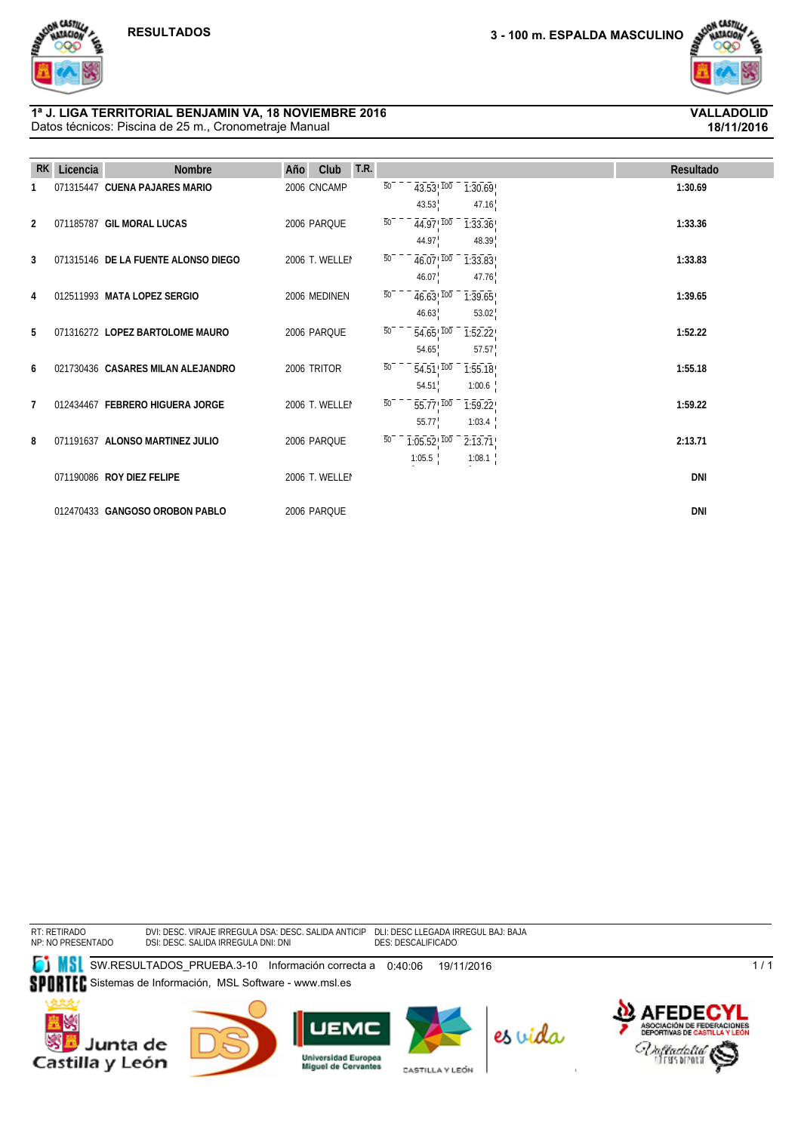

**18/11/2016**

### Datos técnicos: Piscina de 25 m., Cronometraje Manual **1ª J. LIGA TERRITORIAL BENJAMIN VA, 18 NOVIEMBRE 2016 VALLADOLID**

| <b>RK</b> | Licencia | <b>Nombre</b>                       | T.R.<br>Club<br>Año |                 |                                       |                   | Resultado  |
|-----------|----------|-------------------------------------|---------------------|-----------------|---------------------------------------|-------------------|------------|
|           |          | 071315447 CUENA PAJARES MARIO       | 2006 CNCAMP         | $\overline{50}$ | $43.53^{+100}$                        | 1:30.69           | 1:30.69    |
|           |          |                                     |                     |                 | 43.53                                 | 47.16             |            |
| 2         |          | 071185787 GIL MORAL LUCAS           | 2006 PARQUE         | 50              | $\overline{44.97}$ , $\overline{100}$ | 1:33.36           | 1:33.36    |
|           |          |                                     |                     |                 | 44.97                                 | 48.39             |            |
| 3         |          | 071315146 DE LA FUENTE ALONSO DIEGO | 2006 T. WELLEI      | $\overline{50}$ | $46.07$ <sup>100</sup>                | 1:33.83           | 1:33.83    |
|           |          |                                     |                     |                 | 46.07                                 | 47.76             |            |
| 4         |          | 012511993 MATA LOPEZ SERGIO         | 2006 MEDINEN        | $\overline{50}$ | $46.63^{+100}$                        | 1:39.65           | 1:39.65    |
|           |          |                                     |                     |                 | 46.63                                 | 53.02             |            |
| 5         |          | 071316272 LOPEZ BARTOLOME MAURO     | 2006 PARQUE         | 50              | $54.65^{+100}$                        | 1:52.22           | 1:52.22    |
|           |          |                                     |                     |                 | 54.65                                 | 57.57             |            |
| 6         |          | 021730436 CASARES MILAN ALEJANDRO   | 2006 TRITOR         | $\overline{50}$ | $\overline{54.51}$ , $\overline{100}$ | 1:55.18           | 1:55.18    |
| 7         |          | 012434467 FEBRERO HIGUERA JORGE     | 2006 T. WELLEI      | 50              | 54.51                                 | 1:00.6            | 1:59.22    |
|           |          |                                     |                     |                 | $55.77^{+100}$<br>55.77               | 1:59.22<br>1:03.4 |            |
| 8         |          | 071191637 ALONSO MARTINEZ JULIO     | 2006 PARQUE         | 50              | $1:05.52$ ! $100$                     | 2:13.71           | 2:13.71    |
|           |          |                                     |                     |                 | 1:05.5                                | 1:08.1            |            |
|           |          | 071190086 ROY DIEZ FELIPE           | 2006 T. WELLEI      |                 |                                       |                   | <b>DNI</b> |
|           |          |                                     |                     |                 |                                       |                   |            |
|           |          | 012470433 GANGOSO OROBON PABLO      | 2006 PARQUE         |                 |                                       |                   | <b>DNI</b> |

RT: RETIRADO NP: NO PRESENTADO

DVI: DESC. VIRAJE IRREGULA DSI: DESC. SALIDA IRREGULA DSA: DESC. SALIDA ANTICIP DNI: DNI DLI: DESC LLEGADA IRREGUL DES: DESCALIFICADO BAJ: BAJA

**SW.RESULTADOS\_PRUEBA.3-10 Información correcta a 0:40:06 19/11/2016** SPORTEC Sistemas de Información, MSL Software - www.msl.es









CASTILLA Y LEÓN



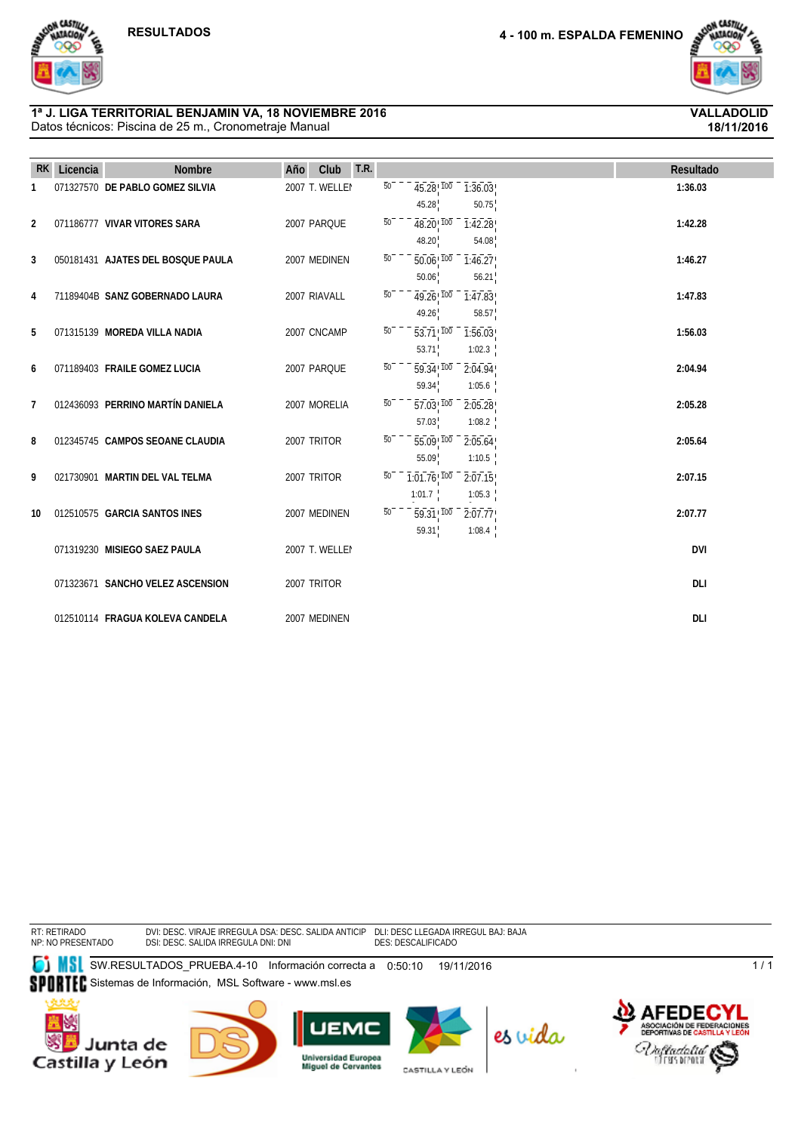

**18/11/2016**

### Datos técnicos: Piscina de 25 m., Cronometraje Manual **1ª J. LIGA TERRITORIAL BENJAMIN VA, 18 NOVIEMBRE 2016 VALLADOLID**

| <b>RK</b>      | Licencia | <b>Nombre</b>                     | Club<br>Año    | T.R. |                 |                                                         |                               | Resultado  |
|----------------|----------|-----------------------------------|----------------|------|-----------------|---------------------------------------------------------|-------------------------------|------------|
| 1              |          | 071327570 DE PABLO GOMEZ SILVIA   | 2007 T. WELLEI |      | $\overline{50}$ | $45.28$ <sup>100</sup><br>45.28                         | $\overline{1:36.03}$<br>50.75 | 1:36.03    |
| 2              |          | 071186777 VIVAR VITORES SARA      | 2007 PARQUE    |      | $\overline{50}$ | $48.20$ ! $100$<br>48.20                                | $\overline{1:}42.28$<br>54.08 | 1:42.28    |
| 3              |          | 050181431 AJATES DEL BOSQUE PAULA | 2007 MEDINEN   |      | $\overline{50}$ | $\overline{50.06}$ $\overline{100}$ –<br>50.06          | 1:46.27<br>56.21              | 1:46.27    |
| 4              |          | 71189404B SANZ GOBERNADO LAURA    | 2007 RIAVALL   |      | $\overline{50}$ | $49.26$ 100<br>49.26                                    | 1:47.83<br>58.57              | 1:47.83    |
| 5              |          | 071315139 MOREDA VILLA NADIA      | 2007 CNCAMP    |      | $\overline{50}$ | $\overline{53.71}$ $\overline{100}$ –                   | 1:56.03                       | 1:56.03    |
| 6              |          | 071189403 FRAILE GOMEZ LUCIA      | 2007 PARQUE    |      | $\overline{50}$ | 53.71<br>$\overline{59.34}$ , $\overline{100}$<br>59.34 | 1:02.3<br>2:04.94<br>1:05.6   | 2:04.94    |
| $\overline{7}$ |          | 012436093 PERRINO MARTÍN DANIELA  | 2007 MORELIA   |      | $\overline{50}$ | $57.03^{+100}$<br>57.03                                 | 2:05.28<br>1:08.2             | 2:05.28    |
| 8              |          | 012345745 CAMPOS SEOANE CLAUDIA   | 2007 TRITOR    |      | $\overline{50}$ | $\overline{55.09}$ <sup>100</sup><br>55.09              | 2:05.64<br>1:10.5             | 2:05.64    |
| 9              |          | 021730901 MARTIN DEL VAL TELMA    | 2007 TRITOR    |      | 50              | $-7.01.76$ , $100$                                      | 2:07.15                       | 2:07.15    |
| 10             |          | 012510575 GARCIA SANTOS INES      | 2007 MEDINEN   |      | $\overline{50}$ | 1:01.7<br>$\overline{59.31}$ $\overline{100}$           | 1:05.3<br>2:07.77             | 2:07.77    |
|                |          | 071319230 MISIEGO SAEZ PAULA      | 2007 T. WELLEI |      |                 | 59.31                                                   | 1:08.4                        | <b>DVI</b> |
|                |          | 071323671 SANCHO VELEZ ASCENSION  | 2007 TRITOR    |      |                 |                                                         |                               | <b>DLI</b> |
|                |          | 012510114 FRAGUA KOLEVA CANDELA   | 2007 MEDINEN   |      |                 |                                                         |                               | DLI        |

RT: RETIRADO NP: NO PRESENTADO

DVI: DESC. VIRAJE IRREGULA DSI: DESC. SALIDA IRREGULA DSA: DESC. SALIDA ANTICIP DNI: DNI DLI: DESC LLEGADA IRREGUL DES: DESCALIFICADO BAJ: BAJA

**SW.RESULTADOS\_PRUEBA.4-10 Información correcta a 0:50:10 19/11/2016** SPORTEC Sistemas de Información, MSL Software - www.msl.es









CASTILLA Y LEÓN

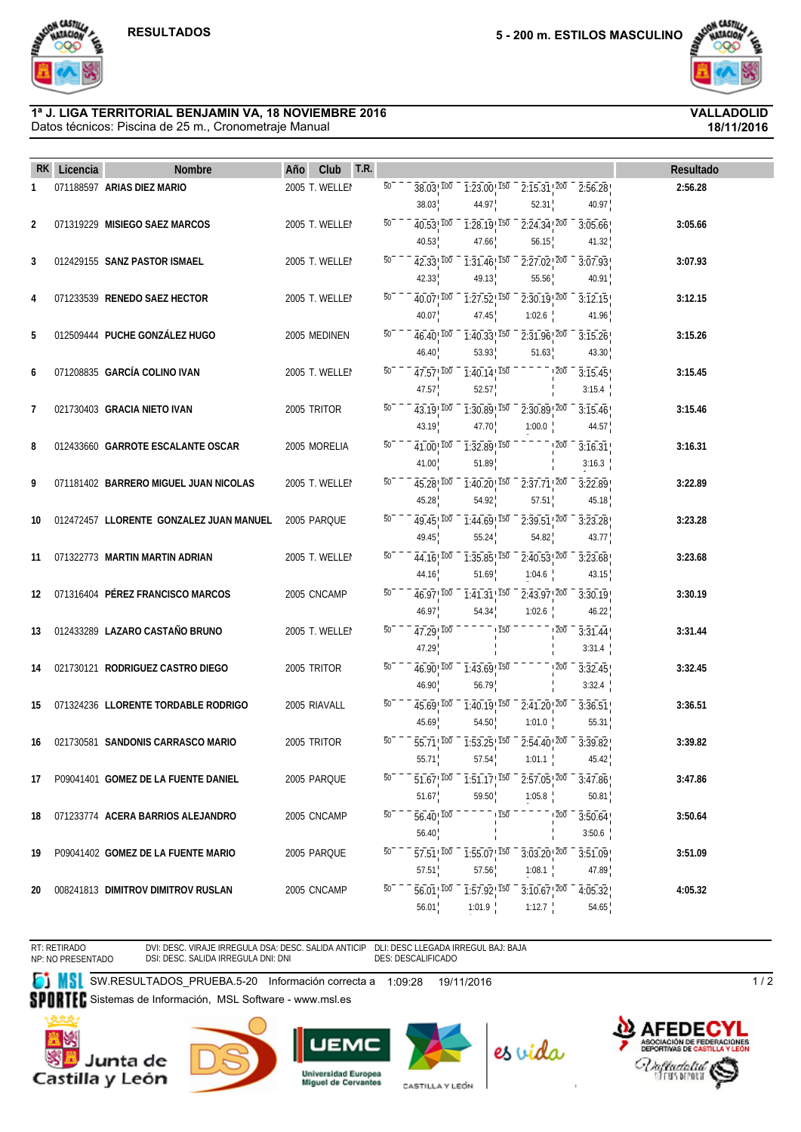a CASTIV

**18/11/2016**

# **1ª J. LIGA TERRITORIAL BENJAMIN VA, 18 NOVIEMBRE 2016 VALLADOLID**

Datos técnicos: Piscina de 25 m., Cronometraje Manual



 **RK Licencia Nombre Año Club T.R. Resultado**

RT: RETIRADO NP: NO PRESENTADO DVI: DESC. VIRAJE IRREGULA DSA: DESC. SALIDA ANTICIP DSI: DESC. SALIDA IRREGULA DNI: DNI

DLI: DESC LLEGADA IRREGUL BAJ: BAJA DES: DESCALIFICADO

SI SW.RESULTADOS\_PRUEBA.5-20 Información correcta a 1:09:28 19/11/2016 Sistemas de Información, MSL Software - www.msl.es Castilla y León







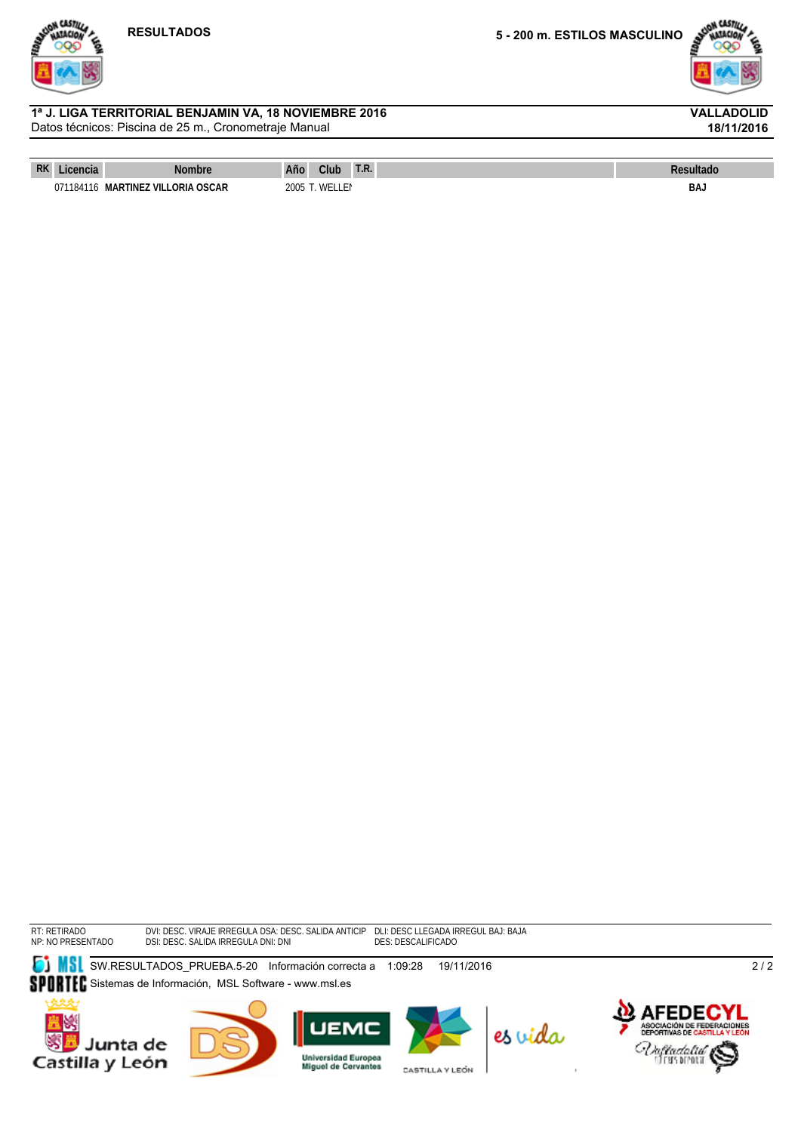



**18/11/2016**

### Datos técnicos: Piscina de 25 m., Cronometraje Manual **1ª J. LIGA TERRITORIAL BENJAMIN VA, 18 NOVIEMBRE 2016 VALLADOLID**

| RK | auor.     | Nombre                                   | Año                 | Club       | 1.5. | <b>Resultadu</b> |
|----|-----------|------------------------------------------|---------------------|------------|------|------------------|
|    | 071184116 | MAR <sub>1</sub><br>TINEZ VILLORIA OSCAR | ำ∩∩⊏<br><b>COUZ</b> | <b>WEI</b> |      | <b>BAJ</b>       |

RT: RETIRADO NP: NO PRESENTADO DVI: DESC. VIRAJE IRREGULA DSI: DESC. SALIDA IRREGULA DSA: DESC. SALIDA ANTICIP DNI: DNI DLI: DESC LLEGADA IRREGUL DES: DESCALIFICADO BAJ: BAJA

**SU**SW.RESULTADOS\_PRUEBA.5-20 Información correcta a 1:09:28 19/11/2016











CASTILLA Y LEÓN



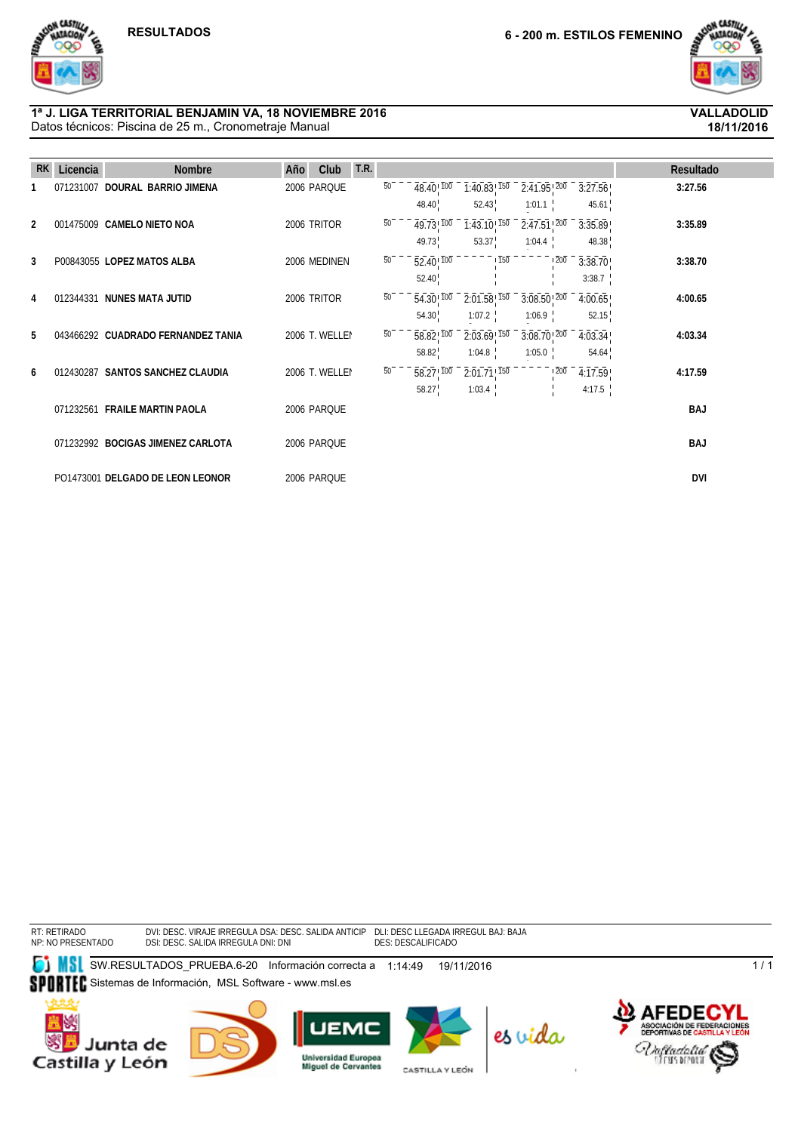

**18/11/2016**

### Datos técnicos: Piscina de 25 m., Cronometraje Manual **1ª J. LIGA TERRITORIAL BENJAMIN VA, 18 NOVIEMBRE 2016 VALLADOLID**

| <b>RK</b>      | Licencia  | <b>Nombre</b>                      | T.R.<br>Club<br>Año |                 |                                       |                                         |                                         |         | Resultado  |
|----------------|-----------|------------------------------------|---------------------|-----------------|---------------------------------------|-----------------------------------------|-----------------------------------------|---------|------------|
|                | 071231007 | DOURAL BARRIO JIMENA               | 2006 PARQUE         | $\overline{50}$ | $\overline{48.40}$ , $\overline{100}$ | $\overline{1:40.83}$ , $\overline{150}$ | $\overline{2:}41.95$ , $\overline{200}$ | 3:27.56 | 3:27.56    |
|                |           |                                    |                     |                 | 48.40                                 | 52.43                                   | 1:01.1                                  | 45.61   |            |
| $\overline{2}$ |           | 001475009 CAMELO NIETO NOA         | 2006 TRITOR         | 50              | $49.73^{+100}$                        | $1:43.10^{1150}$                        | $2:47.51^{+200}$                        | 3:35.89 | 3:35.89    |
|                |           |                                    |                     |                 | 49.73                                 | 53.37                                   | 1:04.4                                  | 48.38   |            |
| 3              |           | P00843055 LOPEZ MATOS ALBA         | 2006 MEDINEN        | $\overline{50}$ | $\overline{52.40}$ , $\overline{100}$ | $\overline{150}$                        | $\overline{200}$                        | 3:38.70 | 3:38.70    |
|                |           |                                    |                     |                 | 52.40                                 |                                         |                                         | 3:38.7  |            |
| 4              |           | 012344331 NUNES MATA JUTID         | 2006 TRITOR         | 50              | $54.30^{+700}$                        | $\overline{2:01.58}$ , $\overline{150}$ | $3:08.50$ <sup>200</sup>                | 4:00.65 | 4:00.65    |
|                |           |                                    |                     |                 | 54.30                                 | 1:07.2                                  | 1:06.9                                  | 52.15   |            |
| 5              |           | 043466292 CUADRADO FERNANDEZ TANIA | 2006 T. WELLEI      | 50              | $58.82^{+100}_{-}$                    | $2:03.69$ <sup>150</sup>                | $3:08.70$ <sup>200</sup>                | 4:03.34 | 4:03.34    |
|                |           |                                    |                     |                 | 58.82                                 | 1:04.8                                  | 1:05.0                                  | 54.64   |            |
| 6              |           | 012430287 SANTOS SANCHEZ CLAUDIA   | 2006 T. WELLEI      | 50              | $\overline{58.27}$ , $\overline{100}$ | $2:01.71$ ! $150$                       | $\overline{200}$                        | 4:17.59 | 4:17.59    |
|                |           |                                    |                     |                 | 58.27                                 | 1:03.4                                  |                                         | 4:17.5  |            |
|                |           | 071232561 FRAILE MARTIN PAOLA      | 2006 PARQUE         |                 |                                       |                                         |                                         |         | <b>BAJ</b> |
|                |           |                                    |                     |                 |                                       |                                         |                                         |         |            |
|                |           | 071232992 BOCIGAS JIMENEZ CARLOTA  | 2006 PARQUE         |                 |                                       |                                         |                                         |         | <b>BAJ</b> |
|                |           | PO1473001 DELGADO DE LEON LEONOR   | 2006 PARQUE         |                 |                                       |                                         |                                         |         | <b>DVI</b> |
|                |           |                                    |                     |                 |                                       |                                         |                                         |         |            |

RT: RETIRADO NP: NO PRESENTADO

DVI: DESC. VIRAJE IRREGULA DSI: DESC. SALIDA IRREGULA DSA: DESC. SALIDA ANTICIP DNI: DNI DLI: DESC LLEGADA IRREGUL DES: DESCALIFICADO BAJ: BAJA

**SW.RESULTADOS\_PRUEBA.6-20 Información correcta a 1:14:49 19/11/2016** SPORTEC Sistemas de Información, MSL Software - www.msl.es









CASTILLA Y LEÓN



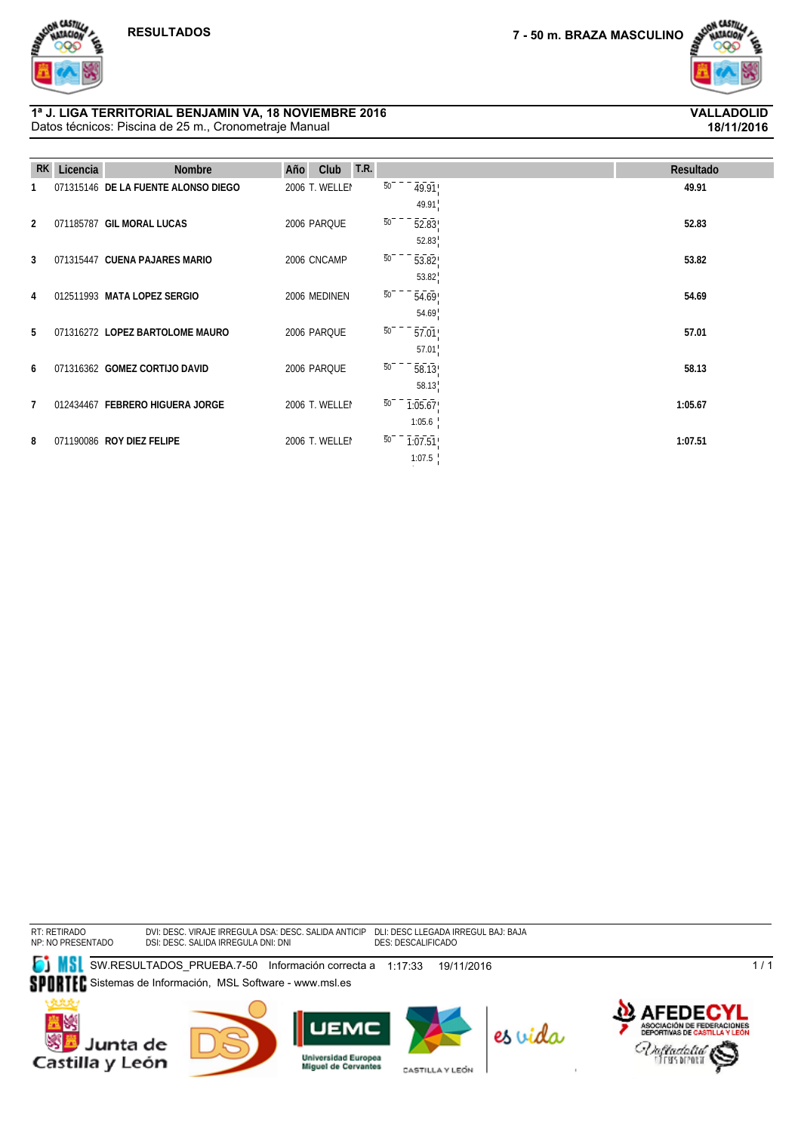

### Datos técnicos: Piscina de 25 m., Cronometraje Manual **1ª J. LIGA TERRITORIAL BENJAMIN VA, 18 NOVIEMBRE 2016 VALLADOLID**



ON CASTIL

# **18/11/2016**

| <b>RK</b>      | Licencia | <b>Nombre</b>                       | <b>T.R.</b><br>Año<br>Club |                            | Resultado |
|----------------|----------|-------------------------------------|----------------------------|----------------------------|-----------|
|                |          | 071315146 DE LA FUENTE ALONSO DIEGO | 2006 T. WELLEI             | $\overline{50}$<br>49.91   | 49.91     |
|                |          |                                     |                            | 49.91                      |           |
| $\overline{2}$ |          | 071185787 GIL MORAL LUCAS           | 2006 PARQUE                | $\overline{50}$<br>52.83   | 52.83     |
|                |          |                                     |                            | 52.83                      |           |
| 3              |          | 071315447 CUENA PAJARES MARIO       | 2006 CNCAMP                | $\overline{50}$<br>53.82   | 53.82     |
|                |          |                                     |                            | 53.82                      |           |
| 4              |          | 012511993 MATA LOPEZ SERGIO         | 2006 MEDINEN               | 50<br>54.69                | 54.69     |
|                |          |                                     |                            | 54.69                      |           |
| 5              |          | 071316272 LOPEZ BARTOLOME MAURO     | 2006 PARQUE                | $\overline{50}$<br>57.01   | 57.01     |
|                |          |                                     |                            | 57.01                      |           |
| 6              |          | 071316362 GOMEZ CORTIJO DAVID       | 2006 PARQUE                | 50<br>58.13                | 58.13     |
|                |          |                                     |                            | 58.13                      |           |
| 7              |          | 012434467 FEBRERO HIGUERA JORGE     | 2006 T. WELLEI             | 50<br>1:05.67              | 1:05.67   |
|                |          |                                     |                            | 1:05.6                     |           |
| 8              |          | 071190086 ROY DIEZ FELIPE           | 2006 T. WELLEI             | $\overline{50}$<br>1:07.51 | 1:07.51   |
|                |          |                                     |                            | 1:07.5                     |           |

1

RT: RETIRADO NP: NO PRESENTADO

DVI: DESC. VIRAJE IRREGULA DSI: DESC. SALIDA IRREGULA DSA: DESC. SALIDA ANTICIP DNI: DNI DLI: DESC LLEGADA IRREGUL DES: DESCALIFICADO BAJ: BAJA

**SW.RESULTADOS\_PRUEBA.7-50 Información correcta a 1:17:33 19/11/2016** SPORTEC Sistemas de Información, MSL Software - www.msl.es









CASTILLA Y LEÓN